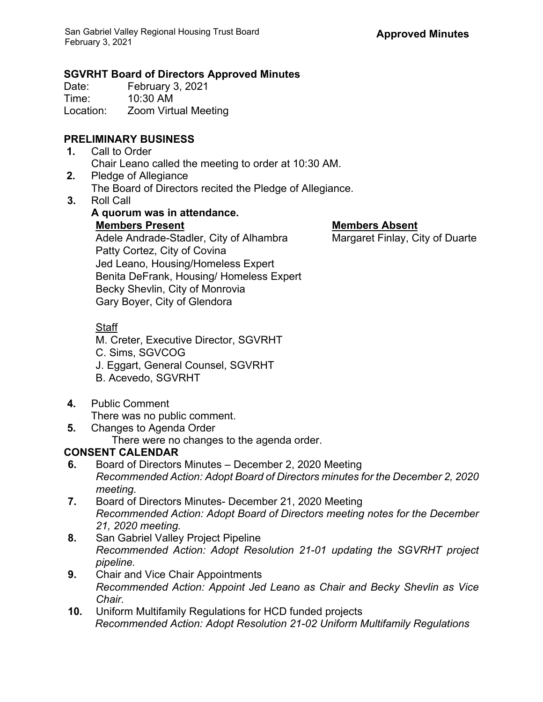**A quorum was in attendance.**

## **SGVRHT Board of Directors Approved Minutes**

Date: February 3, 2021 Time: 10:30 AM Location: Zoom Virtual Meeting

# **PRELIMINARY BUSINESS**

- **1.** Call to Order Chair Leano called the meeting to order at 10:30 AM.
- **2.** Pledge of Allegiance The Board of Directors recited the Pledge of Allegiance.
- **3.** Roll Call

**Members Present Members Absent** Adele Andrade-Stadler, City of Alhambra Patty Cortez, City of Covina Jed Leano, Housing/Homeless Expert Benita DeFrank, Housing/ Homeless Expert Becky Shevlin, City of Monrovia Gary Boyer, City of Glendora

## **Staff**

- M. Creter, Executive Director, SGVRHT
- C. Sims, SGVCOG
- J. Eggart, General Counsel, SGVRHT
- B. Acevedo, SGVRHT
- **4.** Public Comment
	- There was no public comment.
- **5.** Changes to Agenda Order
	- There were no changes to the agenda order.

# **CONSENT CALENDAR**

- **6.** Board of Directors Minutes December 2, 2020 Meeting *Recommended Action: Adopt Board of Directors minutes for the December 2, 2020 meeting.*
- **7.** Board of Directors Minutes- December 21, 2020 Meeting *Recommended Action: Adopt Board of Directors meeting notes for the December 21, 2020 meeting.*
- **8.** San Gabriel Valley Project Pipeline *Recommended Action: Adopt Resolution 21-01 updating the SGVRHT project pipeline.*
- **9.** Chair and Vice Chair Appointments *Recommended Action: Appoint Jed Leano as Chair and Becky Shevlin as Vice Chair.*
- **10.** Uniform Multifamily Regulations for HCD funded projects *Recommended Action: Adopt Resolution 21-02 Uniform Multifamily Regulations*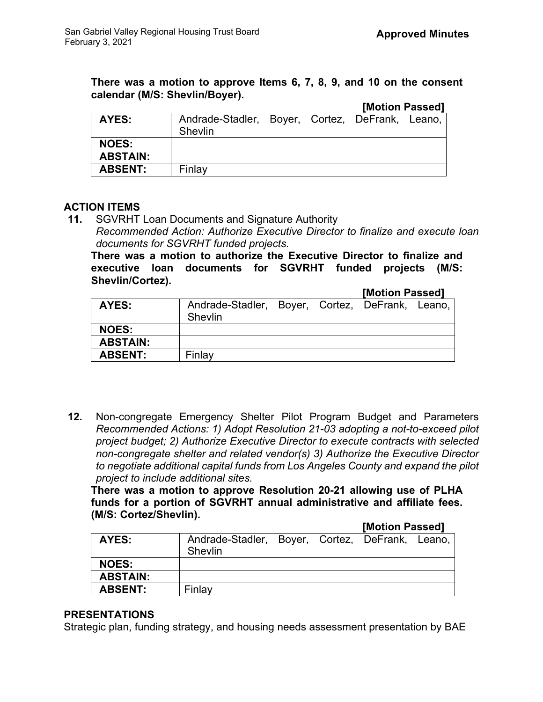**There was a motion to approve Items 6, 7, 8, 9, and 10 on the consent calendar (M/S: Shevlin/Boyer). [Motion Passed]**

|         |  | IMOUOII PASSEUI |                                                 |
|---------|--|-----------------|-------------------------------------------------|
| Shevlin |  |                 |                                                 |
|         |  |                 |                                                 |
|         |  |                 |                                                 |
| Finlay  |  |                 |                                                 |
|         |  |                 | Andrade-Stadler, Boyer, Cortez, DeFrank, Leano, |

#### **ACTION ITEMS**

**11.** SGVRHT Loan Documents and Signature Authority

*Recommended Action: Authorize Executive Director to finalize and execute loan documents for SGVRHT funded projects.*

**There was a motion to authorize the Executive Director to finalize and executive loan documents for SGVRHT funded projects (M/S: Shevlin/Cortez).**

**[Motion Passed]**

| Shevlin |  |  |                                                 |  |
|---------|--|--|-------------------------------------------------|--|
|         |  |  |                                                 |  |
|         |  |  |                                                 |  |
| Finlav  |  |  |                                                 |  |
|         |  |  | Andrade-Stadler, Boyer, Cortez, DeFrank, Leano, |  |

**12.** Non-congregate Emergency Shelter Pilot Program Budget and Parameters *Recommended Actions: 1) Adopt Resolution 21-03 adopting a not-to-exceed pilot project budget; 2) Authorize Executive Director to execute contracts with selected non-congregate shelter and related vendor(s) 3) Authorize the Executive Director to negotiate additional capital funds from Los Angeles County and expand the pilot project to include additional sites.*

**There was a motion to approve Resolution 20-21 allowing use of PLHA funds for a portion of SGVRHT annual administrative and affiliate fees. (M/S: Cortez/Shevlin).** 

#### **[Motion Passed]**

| AYES:           | Andrade-Stadler, Boyer, Cortez, DeFrank, Leano,<br>Shevlin |  |  |  |  |
|-----------------|------------------------------------------------------------|--|--|--|--|
| <b>NOES:</b>    |                                                            |  |  |  |  |
| <b>ABSTAIN:</b> |                                                            |  |  |  |  |
| <b>ABSENT:</b>  | Finlav                                                     |  |  |  |  |

#### **PRESENTATIONS**

Strategic plan, funding strategy, and housing needs assessment presentation by BAE